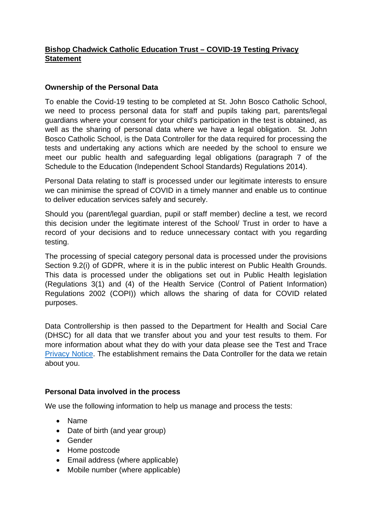# **Bishop Chadwick Catholic Education Trust – COVID-19 Testing Privacy Statement**

#### **Ownership of the Personal Data**

To enable the Covid-19 testing to be completed at St. John Bosco Catholic School, we need to process personal data for staff and pupils taking part, parents/legal guardians where your consent for your child's participation in the test is obtained, as well as the sharing of personal data where we have a legal obligation. St. John Bosco Catholic School, is the Data Controller for the data required for processing the tests and undertaking any actions which are needed by the school to ensure we meet our public health and safeguarding legal obligations (paragraph 7 of the Schedule to the Education (Independent School Standards) Regulations 2014).

Personal Data relating to staff is processed under our legitimate interests to ensure we can minimise the spread of COVID in a timely manner and enable us to continue to deliver education services safely and securely.

Should you (parent/legal guardian, pupil or staff member) decline a test, we record this decision under the legitimate interest of the School/ Trust in order to have a record of your decisions and to reduce unnecessary contact with you regarding testing.

The processing of special category personal data is processed under the provisions Section 9.2(i) of GDPR, where it is in the public interest on Public Health Grounds. This data is processed under the obligations set out in Public Health legislation (Regulations 3(1) and (4) of the Health Service (Control of Patient Information) Regulations 2002 (COPI)) which allows the sharing of data for COVID related purposes.

Data Controllership is then passed to the Department for Health and Social Care (DHSC) for all data that we transfer about you and your test results to them. For more information about what they do with your data please see the Test and Trace [Privacy Notice.](https://contact-tracing.phe.gov.uk/help/privacy-notice) The establishment remains the Data Controller for the data we retain about you.

## **Personal Data involved in the process**

We use the following information to help us manage and process the tests:

- Name
- Date of birth (and year group)
- Gender
- Home postcode
- Email address (where applicable)
- Mobile number (where applicable)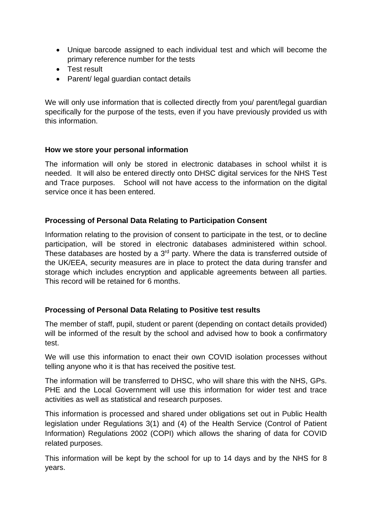- Unique barcode assigned to each individual test and which will become the primary reference number for the tests
- Test result
- Parent/ legal guardian contact details

We will only use information that is collected directly from you/ parent/legal guardian specifically for the purpose of the tests, even if you have previously provided us with this information.

## **How we store your personal information**

The information will only be stored in electronic databases in school whilst it is needed. It will also be entered directly onto DHSC digital services for the NHS Test and Trace purposes. School will not have access to the information on the digital service once it has been entered.

#### **Processing of Personal Data Relating to Participation Consent**

Information relating to the provision of consent to participate in the test, or to decline participation, will be stored in electronic databases administered within school. These databases are hosted by a  $3<sup>rd</sup>$  party. Where the data is transferred outside of the UK/EEA, security measures are in place to protect the data during transfer and storage which includes encryption and applicable agreements between all parties. This record will be retained for 6 months.

## **Processing of Personal Data Relating to Positive test results**

The member of staff, pupil, student or parent (depending on contact details provided) will be informed of the result by the school and advised how to book a confirmatory test.

We will use this information to enact their own COVID isolation processes without telling anyone who it is that has received the positive test.

The information will be transferred to DHSC, who will share this with the NHS, GPs. PHE and the Local Government will use this information for wider test and trace activities as well as statistical and research purposes.

This information is processed and shared under obligations set out in Public Health legislation under Regulations 3(1) and (4) of the Health Service (Control of Patient Information) Regulations 2002 (COPI) which allows the sharing of data for COVID related purposes.

This information will be kept by the school for up to 14 days and by the NHS for 8 years.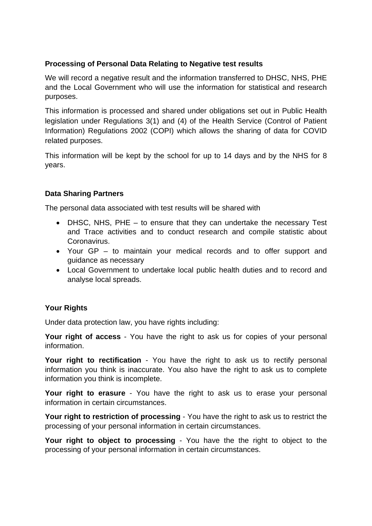#### **Processing of Personal Data Relating to Negative test results**

We will record a negative result and the information transferred to DHSC, NHS, PHE and the Local Government who will use the information for statistical and research purposes.

This information is processed and shared under obligations set out in Public Health legislation under Regulations 3(1) and (4) of the Health Service (Control of Patient Information) Regulations 2002 (COPI) which allows the sharing of data for COVID related purposes.

This information will be kept by the school for up to 14 days and by the NHS for 8 years.

## **Data Sharing Partners**

The personal data associated with test results will be shared with

- DHSC, NHS, PHE to ensure that they can undertake the necessary Test and Trace activities and to conduct research and compile statistic about Coronavirus.
- Your GP to maintain your medical records and to offer support and guidance as necessary
- Local Government to undertake local public health duties and to record and analyse local spreads.

## **Your Rights**

Under data protection law, you have rights including:

**Your right of access** - You have the right to ask us for copies of your personal information.

**Your right to rectification** - You have the right to ask us to rectify personal information you think is inaccurate. You also have the right to ask us to complete information you think is incomplete.

**Your right to erasure** - You have the right to ask us to erase your personal information in certain circumstances.

**Your right to restriction of processing** - You have the right to ask us to restrict the processing of your personal information in certain circumstances.

**Your right to object to processing** - You have the the right to object to the processing of your personal information in certain circumstances.